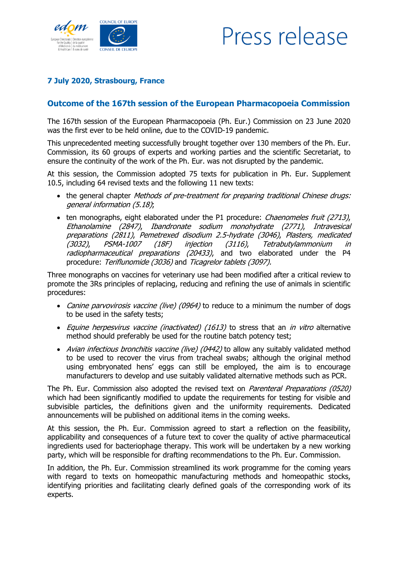

## Press release

## **7 July 2020, Strasbourg, France**

## **Outcome of the 167th session of the European Pharmacopoeia Commission**

The 167th session of the European Pharmacopoeia (Ph. Eur.) Commission on 23 June 2020 was the first ever to be held online, due to the COVID-19 pandemic.

This unprecedented meeting successfully brought together over 130 members of the Ph. Eur. Commission, its 60 groups of experts and working parties and the scientific Secretariat, to ensure the continuity of the work of the Ph. Eur. was not disrupted by the pandemic.

At this session, the Commission adopted 75 texts for publication in Ph. Eur. Supplement 10.5, including 64 revised texts and the following 11 new texts:

- the general chapter *Methods of pre-treatment for preparing traditional Chinese drugs:* general information (5.18);
- ten monographs, eight elaborated under the P1 procedure: *Chaenomeles fruit (2713)*, Ethanolamine (2847), Ibandronate sodium monohydrate (2771), Intravesical preparations (2811), Pemetrexed disodium 2.5-hydrate (3046), Plasters, medicated (3032), PSMA-1007 (18F) injection (3116), Tetrabutylammonium in radiopharmaceutical preparations (20433), and two elaborated under the P4 procedure: Teriflunomide (3036) and Ticagrelor tablets (3097).

Three monographs on vaccines for veterinary use had been modified after a critical review to promote the 3Rs principles of replacing, reducing and refining the use of animals in scientific procedures:

- Canine parvovirosis vaccine (live) (0964) to reduce to a minimum the number of dogs to be used in the safety tests;
- Equine herpesvirus vaccine (inactivated) (1613) to stress that an in vitro alternative method should preferably be used for the routine batch potency test;
- Avian infectious bronchitis vaccine (live) (0442) to allow any suitably validated method to be used to recover the virus from tracheal swabs; although the original method using embryonated hens' eggs can still be employed, the aim is to encourage manufacturers to develop and use suitably validated alternative methods such as PCR.

The Ph. Eur. Commission also adopted the revised text on *Parenteral Preparations (0520)* which had been significantly modified to update the requirements for testing for visible and subvisible particles, the definitions given and the uniformity requirements. Dedicated announcements will be published on additional items in the coming weeks.

At this session, the Ph. Eur. Commission agreed to start a reflection on the feasibility, applicability and consequences of a future text to cover the quality of active pharmaceutical ingredients used for bacteriophage therapy. This work will be undertaken by a new working party, which will be responsible for drafting recommendations to the Ph. Eur. Commission.

In addition, the Ph. Eur. Commission streamlined its work programme for the coming years with regard to texts on homeopathic manufacturing methods and homeopathic stocks, identifying priorities and facilitating clearly defined goals of the corresponding work of its experts.